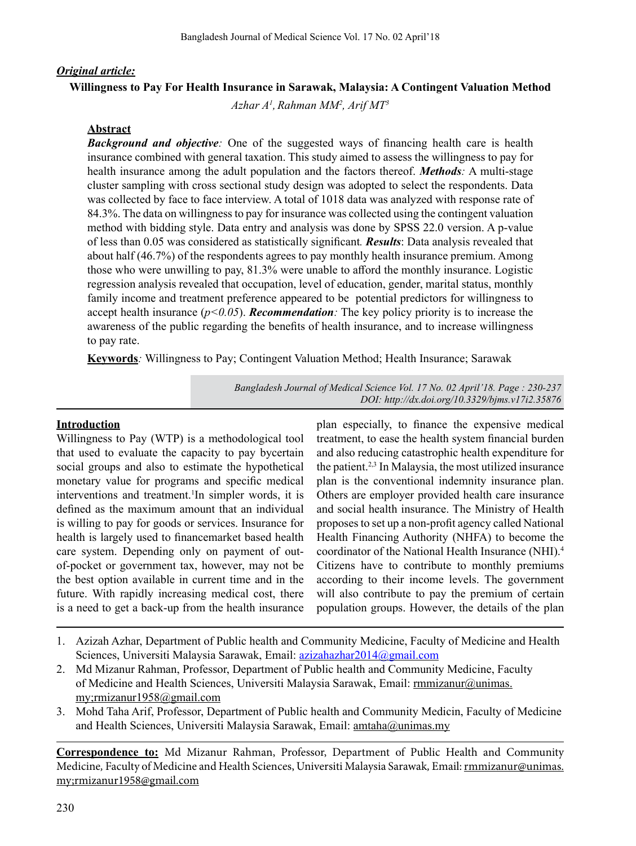## *Original article:*

## **Willingness to Pay For Health Insurance in Sarawak, Malaysia: A Contingent Valuation Method**

 $A$ zhar A<sup>1</sup>, Rahman MM<sup>2</sup>, Arif MT<sup>3</sup>

#### **Abstract**

*Background and objective:* One of the suggested ways of financing health care is health insurance combined with general taxation. This study aimed to assess the willingness to pay for health insurance among the adult population and the factors thereof. *Methods:* A multi-stage cluster sampling with cross sectional study design was adopted to select the respondents. Data was collected by face to face interview. A total of 1018 data was analyzed with response rate of 84.3%. The data on willingnessto pay for insurance was collected using the contingent valuation method with bidding style. Data entry and analysis was done by SPSS 22.0 version. A p-value of less than 0.05 was considered as statistically significant*. Results*: Data analysis revealed that about half (46.7%) of the respondents agrees to pay monthly health insurance premium. Among those who were unwilling to pay, 81.3% were unable to afford the monthly insurance. Logistic regression analysis revealed that occupation, level of education, gender, marital status, monthly family income and treatment preference appeared to be potential predictors for willingness to accept health insurance  $(p<0.05)$ . **Recommendation**: The key policy priority is to increase the awareness of the public regarding the benefits of health insurance, and to increase willingness to pay rate.

**Keywords***:* Willingness to Pay; Contingent Valuation Method; Health Insurance; Sarawak

*Bangladesh Journal of Medical Science Vol. 17 No. 02 April'18. Page : 230-237 DOI: http://dx.doi.org/10.3329/bjms.v17i2.35876* 

#### **Introduction**

Willingness to Pay (WTP) is a methodological tool that used to evaluate the capacity to pay bycertain social groups and also to estimate the hypothetical monetary value for programs and specific medical interventions and treatment.<sup>1</sup>In simpler words, it is defined as the maximum amount that an individual is willing to pay for goods or services. Insurance for health is largely used to financemarket based health care system. Depending only on payment of outof-pocket or government tax, however, may not be the best option available in current time and in the future. With rapidly increasing medical cost, there is a need to get a back-up from the health insurance

plan especially, to finance the expensive medical treatment, to ease the health system financial burden and also reducing catastrophic health expenditure for the patient.2,3 In Malaysia, the most utilized insurance plan is the conventional indemnity insurance plan. Others are employer provided health care insurance and social health insurance. The Ministry of Health proposes to set up a non-profit agency called National Health Financing Authority (NHFA) to become the coordinator of the National Health Insurance (NHI).4 Citizens have to contribute to monthly premiums according to their income levels. The government will also contribute to pay the premium of certain population groups. However, the details of the plan

- 1. Azizah Azhar, Department of Public health and Community Medicine, Faculty of Medicine and Health Sciences, Universiti Malaysia Sarawak, Email: azizahazhar2014@gmail.com
- 2. Md Mizanur Rahman, Professor, Department of Public health and Community Medicine, Faculty of Medicine and Health Sciences, Universiti Malaysia Sarawak, Email: rmmizanur@unimas. my;rmizanur1958@gmail.com
- 3. Mohd Taha Arif, Professor, Department of Public health and Community Medicin, Faculty of Medicine and Health Sciences, Universiti Malaysia Sarawak, Email: amtaha@unimas.my

**Correspondence to:** Md Mizanur Rahman, Professor, Department of Public Health and Community Medicine*,* Faculty of Medicine and Health Sciences, Universiti Malaysia Sarawak*,* Email: rmmizanur@unimas. my;rmizanur1958@gmail.com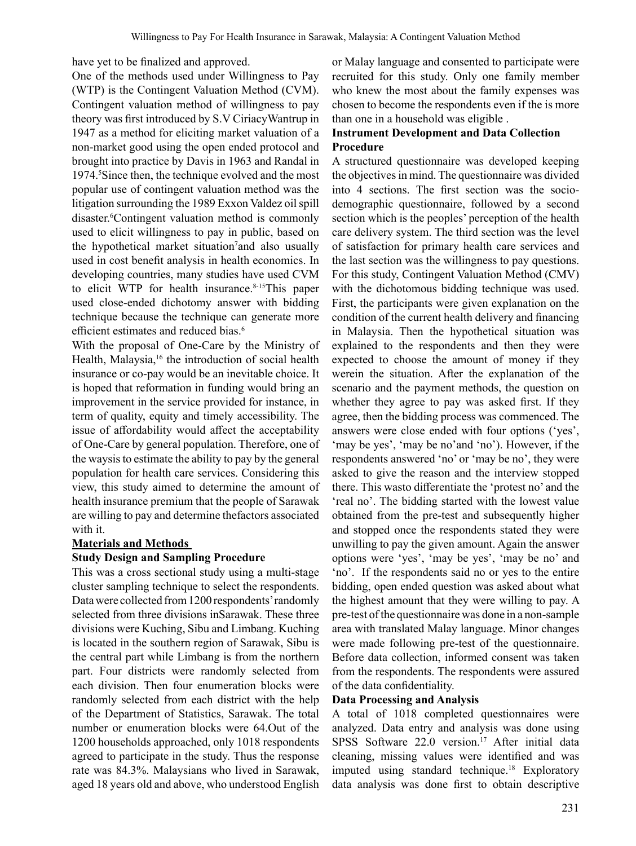have yet to be finalized and approved.

One of the methods used under Willingness to Pay (WTP) is the Contingent Valuation Method (CVM). Contingent valuation method of willingness to pay theory was first introduced by S.V CiriacyWantrup in 1947 as a method for eliciting market valuation of a non-market good using the open ended protocol and brought into practice by Davis in 1963 and Randal in 1974.<sup>5</sup> Since then, the technique evolved and the most popular use of contingent valuation method was the litigation surrounding the 1989 Exxon Valdez oil spill disaster.<sup>6</sup> Contingent valuation method is commonly used to elicit willingness to pay in public, based on the hypothetical market situation<sup>7</sup> and also usually used in cost benefit analysis in health economics. In developing countries, many studies have used CVM to elicit WTP for health insurance.<sup>8-15</sup>This paper used close-ended dichotomy answer with bidding technique because the technique can generate more efficient estimates and reduced bias.<sup>6</sup>

With the proposal of One-Care by the Ministry of Health, Malaysia,<sup>16</sup> the introduction of social health insurance or co-pay would be an inevitable choice. It is hoped that reformation in funding would bring an improvement in the service provided for instance, in term of quality, equity and timely accessibility. The issue of affordability would affect the acceptability of One-Care by general population. Therefore, one of the waysisto estimate the ability to pay by the general population for health care services. Considering this view, this study aimed to determine the amount of health insurance premium that the people of Sarawak are willing to pay and determine thefactors associated with it.

#### **Materials and Methods**

#### **Study Design and Sampling Procedure**

This was a cross sectional study using a multi-stage cluster sampling technique to select the respondents. Datawere collected from1200 respondents'randomly selected from three divisions inSarawak. These three divisions were Kuching, Sibu and Limbang. Kuching is located in the southern region of Sarawak, Sibu is the central part while Limbang is from the northern part. Four districts were randomly selected from each division. Then four enumeration blocks were randomly selected from each district with the help of the Department of Statistics, Sarawak. The total number or enumeration blocks were 64.Out of the 1200 households approached, only 1018 respondents agreed to participate in the study. Thus the response rate was 84.3%. Malaysians who lived in Sarawak, aged 18 years old and above, who understood English

or Malay language and consented to participate were recruited for this study. Only one family member who knew the most about the family expenses was chosen to become the respondents even if the is more than one in a household was eligible .

## **Instrument Development and Data Collection Procedure**

A structured questionnaire was developed keeping the objectives in mind. The questionnaire was divided into 4 sections. The first section was the sociodemographic questionnaire, followed by a second section which is the peoples' perception of the health care delivery system. The third section was the level of satisfaction for primary health care services and the last section was the willingness to pay questions. For this study, Contingent Valuation Method (CMV) with the dichotomous bidding technique was used. First, the participants were given explanation on the condition of the current health delivery and financing in Malaysia. Then the hypothetical situation was explained to the respondents and then they were expected to choose the amount of money if they werein the situation. After the explanation of the scenario and the payment methods, the question on whether they agree to pay was asked first. If they agree, then the bidding process was commenced. The answers were close ended with four options ('yes', 'may be yes', 'may be no'and 'no'). However, if the respondents answered 'no' or 'may be no', they were asked to give the reason and the interview stopped there. This wasto differentiate the 'protest no' and the 'real no'. The bidding started with the lowest value obtained from the pre-test and subsequently higher and stopped once the respondents stated they were unwilling to pay the given amount. Again the answer options were 'yes', 'may be yes', 'may be no' and 'no'. If the respondents said no or yes to the entire bidding, open ended question was asked about what the highest amount that they were willing to pay. A pre-test ofthe questionnaire was done in a non-sample area with translated Malay language. Minor changes were made following pre-test of the questionnaire. Before data collection, informed consent was taken from the respondents. The respondents were assured of the data confidentiality.

#### **Data Processing and Analysis**

A total of 1018 completed questionnaires were analyzed. Data entry and analysis was done using SPSS Software  $22.0$  version.<sup>17</sup> After initial data cleaning, missing values were identified and was imputed using standard technique.<sup>18</sup> Exploratory data analysis was done first to obtain descriptive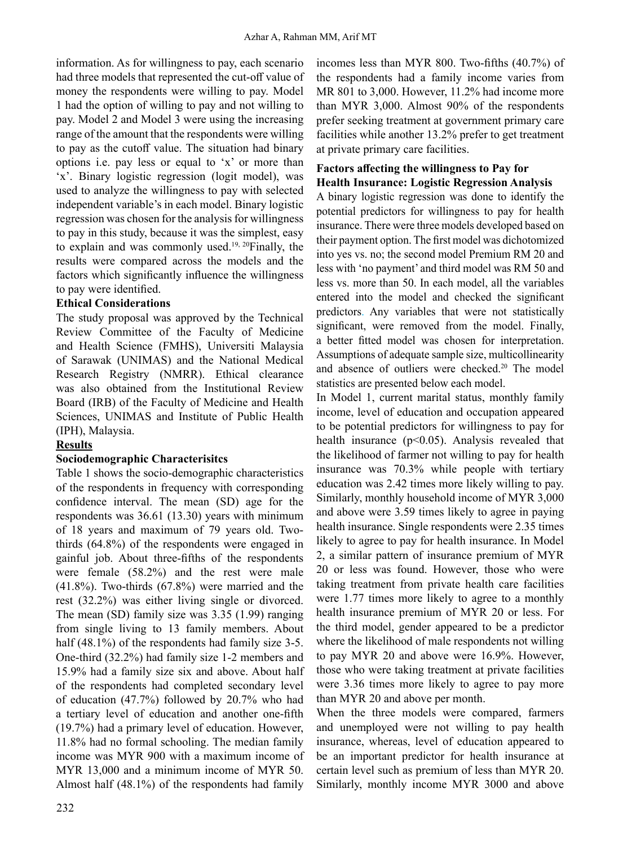information. As for willingness to pay, each scenario had three models that represented the cut-off value of money the respondents were willing to pay. Model 1 had the option of willing to pay and not willing to pay. Model 2 and Model 3 were using the increasing range of the amount that the respondents were willing to pay as the cutoff value. The situation had binary options i.e. pay less or equal to 'x' or more than 'x'. Binary logistic regression (logit model), was used to analyze the willingness to pay with selected independent variable's in each model. Binary logistic regression was chosen for the analysis for willingness to pay in this study, because it was the simplest, easy to explain and was commonly used.<sup>19, 20</sup>Finally, the results were compared across the models and the factors which significantly influence the willingness to pay were identified.

#### **Ethical Considerations**

The study proposal was approved by the Technical Review Committee of the Faculty of Medicine and Health Science (FMHS), Universiti Malaysia of Sarawak (UNIMAS) and the National Medical Research Registry (NMRR). Ethical clearance was also obtained from the Institutional Review Board (IRB) of the Faculty of Medicine and Health Sciences, UNIMAS and Institute of Public Health (IPH), Malaysia.

#### **Results**

#### **Sociodemographic Characterisitcs**

Table 1 shows the socio-demographic characteristics of the respondents in frequency with corresponding confidence interval. The mean (SD) age for the respondents was 36.61 (13.30) years with minimum of 18 years and maximum of 79 years old. Twothirds (64.8%) of the respondents were engaged in gainful job. About three-fifths of the respondents were female (58.2%) and the rest were male (41.8%). Two-thirds (67.8%) were married and the rest (32.2%) was either living single or divorced. The mean (SD) family size was 3.35 (1.99) ranging from single living to 13 family members. About half (48.1%) of the respondents had family size 3-5. One-third (32.2%) had family size 1-2 members and 15.9% had a family size six and above. About half of the respondents had completed secondary level of education (47.7%) followed by 20.7% who had a tertiary level of education and another one-fifth (19.7%) had a primary level of education. However, 11.8% had no formal schooling. The median family income was MYR 900 with a maximum income of MYR 13,000 and a minimum income of MYR 50. Almost half (48.1%) of the respondents had family incomes less than MYR 800. Two-fifths (40.7%) of the respondents had a family income varies from MR 801 to 3,000. However, 11.2% had income more than MYR 3,000. Almost 90% of the respondents prefer seeking treatment at government primary care facilities while another 13.2% prefer to get treatment at private primary care facilities.

## **Factors affecting the willingness to Pay for Health Insurance: Logistic Regression Analysis**

A binary logistic regression was done to identify the potential predictors for willingness to pay for health insurance. There were three models developed based on their payment option. The first model was dichotomized into yes vs. no; the second model Premium RM 20 and less with 'no payment' and third model was RM 50 and less vs. more than 50. In each model, all the variables entered into the model and checked the significant predictors. Any variables that were not statistically significant, were removed from the model. Finally, a better fitted model was chosen for interpretation. Assumptions of adequate sample size, multicollinearity and absence of outliers were checked.20 The model statistics are presented below each model.

In Model 1, current marital status, monthly family income, level of education and occupation appeared to be potential predictors for willingness to pay for health insurance (p<0.05). Analysis revealed that the likelihood of farmer not willing to pay for health insurance was 70.3% while people with tertiary education was 2.42 times more likely willing to pay. Similarly, monthly household income of MYR 3,000 and above were 3.59 times likely to agree in paying health insurance. Single respondents were 2.35 times likely to agree to pay for health insurance. In Model 2, a similar pattern of insurance premium of MYR 20 or less was found. However, those who were taking treatment from private health care facilities were 1.77 times more likely to agree to a monthly health insurance premium of MYR 20 or less. For the third model, gender appeared to be a predictor where the likelihood of male respondents not willing to pay MYR 20 and above were 16.9%. However, those who were taking treatment at private facilities were 3.36 times more likely to agree to pay more than MYR 20 and above per month.

When the three models were compared, farmers and unemployed were not willing to pay health insurance, whereas, level of education appeared to be an important predictor for health insurance at certain level such as premium of less than MYR 20. Similarly, monthly income MYR 3000 and above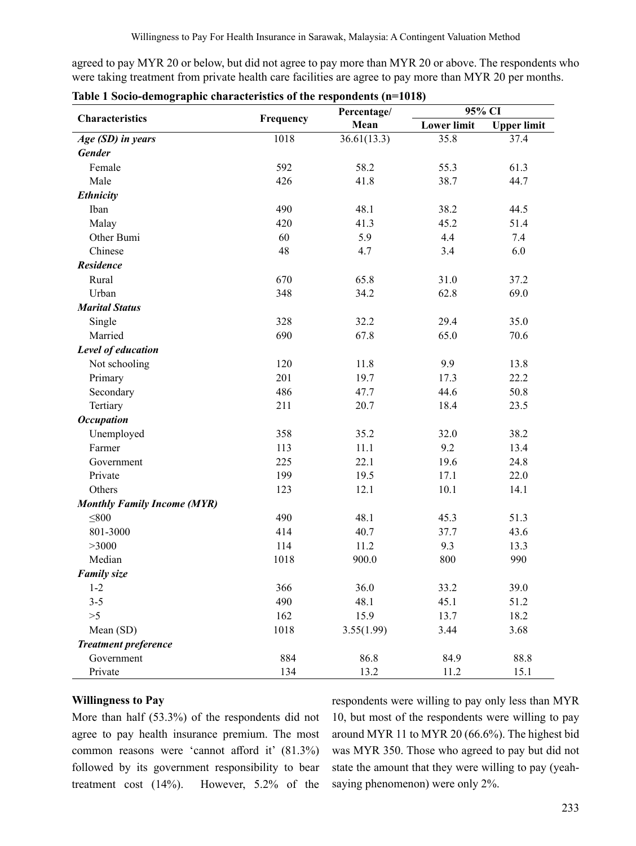agreed to pay MYR 20 or below, but did not agree to pay more than MYR 20 or above. The respondents who were taking treatment from private health care facilities are agree to pay more than MYR 20 per months.

|                                    |           | Percentage/ | 95% CI             |                    |  |  |
|------------------------------------|-----------|-------------|--------------------|--------------------|--|--|
| Characteristics                    | Frequency | Mean        | <b>Lower limit</b> | <b>Upper limit</b> |  |  |
| Age (SD) in years                  | 1018      | 36.61(13.3) | 35.8               | 37.4               |  |  |
| <b>Gender</b>                      |           |             |                    |                    |  |  |
| Female                             | 592       | 58.2        | 55.3               | 61.3               |  |  |
| Male                               | 426       | 41.8        | 38.7               | 44.7               |  |  |
| <b>Ethnicity</b>                   |           |             |                    |                    |  |  |
| Iban                               | 490       | 48.1        | 38.2               | 44.5               |  |  |
| Malay                              | 420       | 41.3        | 45.2               | 51.4               |  |  |
| Other Bumi                         | 60        | 5.9         | 4.4                | 7.4                |  |  |
| Chinese                            | 48        | 4.7         | 3.4                | 6.0                |  |  |
| <b>Residence</b>                   |           |             |                    |                    |  |  |
| Rural                              | 670       | 65.8        | 31.0               | 37.2               |  |  |
| Urban                              | 348       | 34.2        | 62.8               | 69.0               |  |  |
| <b>Marital Status</b>              |           |             |                    |                    |  |  |
| Single                             | 328       | 32.2        | 29.4               | 35.0               |  |  |
| Married                            | 690       | 67.8        | 65.0               | 70.6               |  |  |
| Level of education                 |           |             |                    |                    |  |  |
| Not schooling                      | 120       | 11.8        | 9.9                | 13.8               |  |  |
| Primary                            | 201       | 19.7        | 17.3               | 22.2               |  |  |
| Secondary                          | 486       | 47.7        | 44.6               | 50.8               |  |  |
| Tertiary                           | 211       | 20.7        | 18.4               | 23.5               |  |  |
| <b>Occupation</b>                  |           |             |                    |                    |  |  |
| Unemployed                         | 358       | 35.2        | 32.0               | 38.2               |  |  |
| Farmer                             | 113       | 11.1        | 9.2                | 13.4               |  |  |
| Government                         | 225       | 22.1        | 19.6               | 24.8               |  |  |
| Private                            | 199       | 19.5        | 17.1               | 22.0               |  |  |
| Others                             | 123       | 12.1        | 10.1               | 14.1               |  |  |
| <b>Monthly Family Income (MYR)</b> |           |             |                    |                    |  |  |
| $\leq 800$                         | 490       | 48.1        | 45.3               | 51.3               |  |  |
| 801-3000                           | 414       | 40.7        | 37.7               | 43.6               |  |  |
| >3000                              | 114       | 11.2        | 9.3                | 13.3               |  |  |
| Median                             | 1018      | 900.0       | 800                | 990                |  |  |
| <b>Family size</b>                 |           |             |                    |                    |  |  |
| $1 - 2$                            | 366       | 36.0        | 33.2               | 39.0               |  |  |
| $3 - 5$                            | 490       | 48.1        | 45.1               | 51.2               |  |  |
| >5                                 | 162       | 15.9        | 13.7               | 18.2               |  |  |
| Mean (SD)                          | 1018      | 3.55(1.99)  | 3.44               | 3.68               |  |  |
| <b>Treatment preference</b>        |           |             |                    |                    |  |  |
| Government                         | 884       | 86.8        | 84.9               | 88.8               |  |  |
| Private                            | 134       | 13.2        | 11.2               | 15.1               |  |  |

|  |  |  |  |  | Table 1 Socio-demographic characteristics of the respondents (n=1018) |  |  |
|--|--|--|--|--|-----------------------------------------------------------------------|--|--|
|  |  |  |  |  |                                                                       |  |  |

## **Willingness to Pay**

More than half (53.3%) of the respondents did not agree to pay health insurance premium. The most common reasons were 'cannot afford it' (81.3%) followed by its government responsibility to bear treatment cost (14%). However, 5.2% of the

respondents were willing to pay only less than MYR 10, but most of the respondents were willing to pay around MYR 11 to MYR 20 (66.6%). The highest bid was MYR 350. Those who agreed to pay but did not state the amount that they were willing to pay (yeahsaying phenomenon) were only 2%.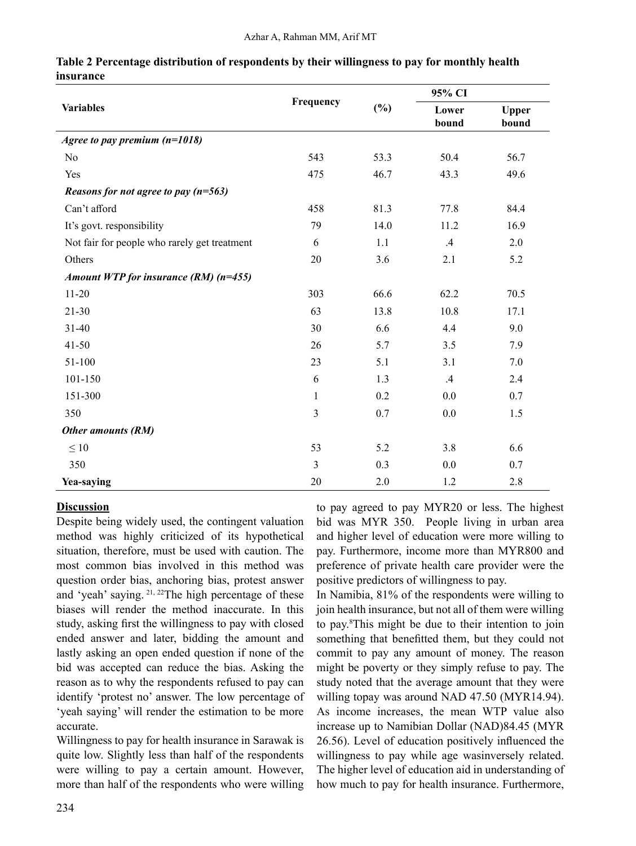|                                              |              |        | 95% CI          |                       |
|----------------------------------------------|--------------|--------|-----------------|-----------------------|
| <b>Variables</b>                             | Frequency    | $(\%)$ | Lower<br>bound  | <b>Upper</b><br>bound |
| Agree to pay premium $(n=1018)$              |              |        |                 |                       |
| No                                           | 543          | 53.3   | 50.4            | 56.7                  |
| Yes                                          | 475          | 46.7   | 43.3            | 49.6                  |
| Reasons for not agree to pay $(n=563)$       |              |        |                 |                       |
| Can't afford                                 | 458          | 81.3   | 77.8            | 84.4                  |
| It's govt. responsibility                    | 79           | 14.0   | 11.2            | 16.9                  |
| Not fair for people who rarely get treatment | 6            | 1.1    | $.4\,$          | 2.0                   |
| Others                                       | 20           | 3.6    | 2.1             | 5.2                   |
| Amount WTP for insurance (RM) $(n=455)$      |              |        |                 |                       |
| $11 - 20$                                    | 303          | 66.6   | 62.2            | 70.5                  |
| $21 - 30$                                    | 63           | 13.8   | 10.8            | 17.1                  |
| $31 - 40$                                    | 30           | 6.6    | 4.4             | 9.0                   |
| $41 - 50$                                    | 26           | 5.7    | 3.5             | 7.9                   |
| 51-100                                       | 23           | 5.1    | 3.1             | 7.0                   |
| 101-150                                      | 6            | 1.3    | $.4\phantom{0}$ | 2.4                   |
| 151-300                                      | $\mathbf{1}$ | 0.2    | 0.0             | 0.7                   |
| 350                                          | 3            | 0.7    | 0.0             | 1.5                   |
| Other amounts (RM)                           |              |        |                 |                       |
| $\leq 10$                                    | 53           | 5.2    | 3.8             | 6.6                   |
| 350                                          | 3            | 0.3    | 0.0             | 0.7                   |
| Yea-saying                                   | 20           | 2.0    | 1.2             | 2.8                   |

#### **Table 2 Percentage distribution of respondents by their willingness to pay for monthly health insurance**

# **Discussion**

Despite being widely used, the contingent valuation method was highly criticized of its hypothetical situation, therefore, must be used with caution. The most common bias involved in this method was question order bias, anchoring bias, protest answer and 'yeah' saying. 21, 22The high percentage of these biases will render the method inaccurate. In this study, asking first the willingness to pay with closed ended answer and later, bidding the amount and lastly asking an open ended question if none of the bid was accepted can reduce the bias. Asking the reason as to why the respondents refused to pay can identify 'protest no' answer. The low percentage of 'yeah saying' will render the estimation to be more accurate.

Willingness to pay for health insurance in Sarawak is quite low. Slightly less than half of the respondents were willing to pay a certain amount. However, more than half of the respondents who were willing to pay agreed to pay MYR20 or less. The highest bid was MYR 350. People living in urban area and higher level of education were more willing to pay. Furthermore, income more than MYR800 and preference of private health care provider were the positive predictors of willingness to pay.

In Namibia, 81% of the respondents were willing to join health insurance, but not all of them were willing to pay.8 This might be due to their intention to join something that benefitted them, but they could not commit to pay any amount of money. The reason might be poverty or they simply refuse to pay. The study noted that the average amount that they were willing topay was around NAD 47.50 (MYR14.94). As income increases, the mean WTP value also increase up to Namibian Dollar (NAD)84.45 (MYR 26.56). Level of education positively influenced the willingness to pay while age wasinversely related. The higher level of education aid in understanding of how much to pay for health insurance. Furthermore,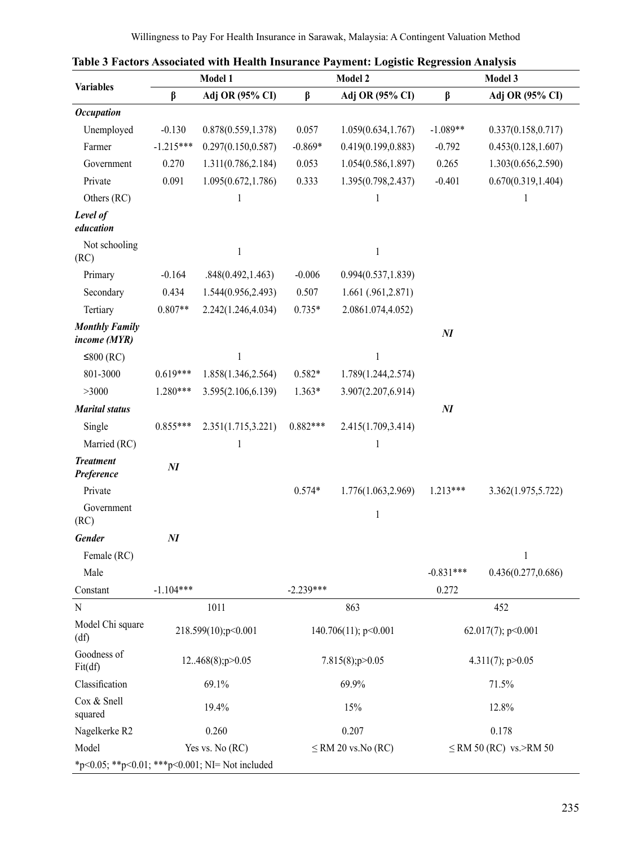|                                                 |                     | Model 1             |                      | таріє з гасіогу Азметатси міні пеанні пімпансе і аўшені. Logistic icegi ession Anarysis<br>Model 2<br>Model 3 |                              |                     |  |  |  |
|-------------------------------------------------|---------------------|---------------------|----------------------|---------------------------------------------------------------------------------------------------------------|------------------------------|---------------------|--|--|--|
| <b>Variables</b>                                | β                   | Adj OR (95% CI)     | β                    | Adj OR (95% CI)                                                                                               | $\beta$<br>Adj OR (95% CI)   |                     |  |  |  |
| <b>Occupation</b>                               |                     |                     |                      |                                                                                                               |                              |                     |  |  |  |
| Unemployed                                      | $-0.130$            | 0.878(0.559, 1.378) | 0.057                | 1.059(0.634, 1.767)                                                                                           | $-1.089**$                   | 0.337(0.158, 0.717) |  |  |  |
| Farmer                                          | $-1.215***$         | 0.297(0.150, 0.587) | $-0.869*$            | 0.419(0.199, 0.883)                                                                                           | $-0.792$                     | 0.453(0.128, 1.607) |  |  |  |
| Government                                      | 0.270               | 1.311(0.786,2.184)  | 0.053                | 1.054(0.586,1.897)                                                                                            | 0.265                        | 1.303(0.656,2.590)  |  |  |  |
| Private                                         | 0.091               | 1.095(0.672, 1.786) | 0.333                | 1.395(0.798,2.437)                                                                                            | $-0.401$                     | 0.670(0.319, 1.404) |  |  |  |
| Others (RC)                                     |                     | 1                   |                      |                                                                                                               |                              | 1                   |  |  |  |
| Level of<br>education                           |                     |                     |                      |                                                                                                               |                              |                     |  |  |  |
| Not schooling<br>(RC)                           |                     | $\mathbf{1}$        |                      | 1                                                                                                             |                              |                     |  |  |  |
| Primary                                         | $-0.164$            | .848(0.492, 1.463)  | $-0.006$             | 0.994(0.537, 1.839)                                                                                           |                              |                     |  |  |  |
| Secondary                                       | 0.434               | 1.544(0.956,2.493)  | 0.507                | 1.661 (.961, 2.871)                                                                                           |                              |                     |  |  |  |
| Tertiary                                        | $0.807**$           | 2.242(1.246,4.034)  | $0.735*$             | 2.0861.074,4.052)                                                                                             |                              |                     |  |  |  |
| <b>Monthly Family</b><br>income (MYR)           |                     |                     |                      |                                                                                                               | $\boldsymbol{M}$             |                     |  |  |  |
| ≤800 $(RC)$                                     |                     | $\mathbf{1}$        |                      | $\mathbf{1}$                                                                                                  |                              |                     |  |  |  |
| 801-3000                                        | $0.619***$          | 1.858(1.346,2.564)  | $0.582*$             | 1.789(1.244,2.574)                                                                                            |                              |                     |  |  |  |
| >3000                                           | 1.280***            | 3.595(2.106,6.139)  | $1.363*$             | 3.907(2.207,6.914)                                                                                            |                              |                     |  |  |  |
| <b>Marital status</b>                           |                     |                     |                      |                                                                                                               | $\boldsymbol{M}$             |                     |  |  |  |
| Single                                          | $0.855***$          | 2.351(1.715,3.221)  | $0.882***$           | 2.415(1.709,3.414)                                                                                            |                              |                     |  |  |  |
| Married (RC)                                    |                     | 1                   |                      | 1                                                                                                             |                              |                     |  |  |  |
| <b>Treatment</b><br>Preference                  | $\boldsymbol{N\!I}$ |                     |                      |                                                                                                               |                              |                     |  |  |  |
| Private                                         |                     |                     | $0.574*$             | 1.776(1.063,2.969)                                                                                            | $1.213***$                   | 3.362(1.975,5.722)  |  |  |  |
| Government<br>(RC)                              |                     |                     |                      | $\mathbf{1}$                                                                                                  |                              |                     |  |  |  |
| <b>Gender</b>                                   | $\boldsymbol{M}$    |                     |                      |                                                                                                               |                              |                     |  |  |  |
| Female (RC)                                     |                     |                     |                      |                                                                                                               |                              | 1                   |  |  |  |
| Male                                            |                     |                     |                      |                                                                                                               | $-0.831***$                  | 0.436(0.277, 0.686) |  |  |  |
| Constant                                        | $-1.104***$         |                     | $-2.239***$          |                                                                                                               | 0.272                        |                     |  |  |  |
| N                                               |                     | 1011                |                      | 863                                                                                                           |                              | 452                 |  |  |  |
| Model Chi square<br>(df)                        | 218.599(10);p<0.001 |                     | 140.706(11); p<0.001 |                                                                                                               | 62.017(7); $p<0.001$         |                     |  |  |  |
| Goodness of<br>Fit(df)                          | 12468(8);p>0.05     |                     |                      | 7.815(8);p>0.05                                                                                               | 4.311(7); $p > 0.05$         |                     |  |  |  |
| Classification                                  | 69.1%               |                     |                      | 69.9%                                                                                                         | 71.5%                        |                     |  |  |  |
| Cox & Snell<br>squared                          | 19.4%               |                     |                      | 15%                                                                                                           | 12.8%                        |                     |  |  |  |
| Nagelkerke R2                                   |                     | 0.260               |                      | 0.207                                                                                                         | 0.178                        |                     |  |  |  |
| Model                                           | Yes vs. No (RC)     |                     |                      | $\leq$ RM 20 vs. No (RC)                                                                                      | $\le$ RM 50 (RC) vs. > RM 50 |                     |  |  |  |
| *p<0.05; **p<0.01; ***p<0.001; NI= Not included |                     |                     |                      |                                                                                                               |                              |                     |  |  |  |

|  | Table 3 Factors Associated with Health Insurance Payment: Logistic Regression Analysis |  |  |  |  |
|--|----------------------------------------------------------------------------------------|--|--|--|--|
|  |                                                                                        |  |  |  |  |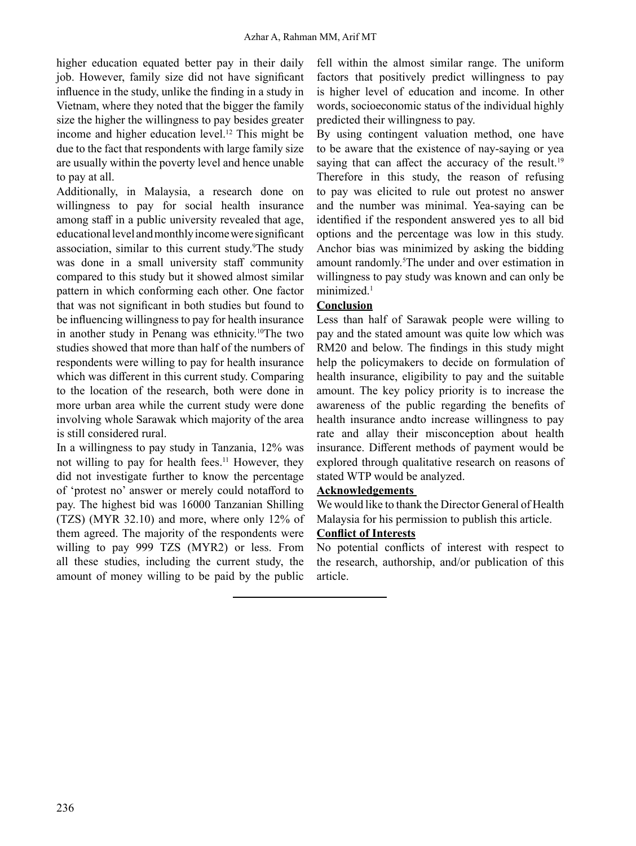higher education equated better pay in their daily job. However, family size did not have significant influence in the study, unlike the finding in a study in Vietnam, where they noted that the bigger the family size the higher the willingness to pay besides greater income and higher education level.12 This might be due to the fact that respondents with large family size are usually within the poverty level and hence unable to pay at all.

Additionally, in Malaysia, a research done on willingness to pay for social health insurance among staff in a public university revealed that age, educationallevel andmonthlyincomewere significant association, similar to this current study.<sup>9</sup>The study was done in a small university staff community compared to this study but it showed almost similar pattern in which conforming each other. One factor that was not significant in both studies but found to be influencing willingness to pay for health insurance in another study in Penang was ethnicity.<sup>10</sup>The two studies showed that more than half of the numbers of respondents were willing to pay for health insurance which was different in this current study. Comparing to the location of the research, both were done in more urban area while the current study were done involving whole Sarawak which majority of the area is still considered rural.

In a willingness to pay study in Tanzania, 12% was not willing to pay for health fees.<sup>11</sup> However, they did not investigate further to know the percentage of 'protest no' answer or merely could notafford to pay. The highest bid was 16000 Tanzanian Shilling (TZS) (MYR 32.10) and more, where only 12% of them agreed. The majority of the respondents were willing to pay 999 TZS (MYR2) or less. From all these studies, including the current study, the amount of money willing to be paid by the public

fell within the almost similar range. The uniform factors that positively predict willingness to pay is higher level of education and income. In other words, socioeconomic status of the individual highly predicted their willingness to pay.

By using contingent valuation method, one have to be aware that the existence of nay-saying or yea saying that can affect the accuracy of the result.<sup>19</sup> Therefore in this study, the reason of refusing to pay was elicited to rule out protest no answer and the number was minimal. Yea-saying can be identified if the respondent answered yes to all bid options and the percentage was low in this study. Anchor bias was minimized by asking the bidding amount randomly.<sup>5</sup>The under and over estimation in willingness to pay study was known and can only be minimized.<sup>1</sup>

# **Conclusion**

Less than half of Sarawak people were willing to pay and the stated amount was quite low which was RM20 and below. The findings in this study might help the policymakers to decide on formulation of health insurance, eligibility to pay and the suitable amount. The key policy priority is to increase the awareness of the public regarding the benefits of health insurance andto increase willingness to pay rate and allay their misconception about health insurance. Different methods of payment would be explored through qualitative research on reasons of stated WTP would be analyzed.

# **Acknowledgements**

We would like to thank the Director General of Health Malaysia for his permission to publish this article.

# **Conflict of Interests**

No potential conflicts of interest with respect to the research, authorship, and/or publication of this article.